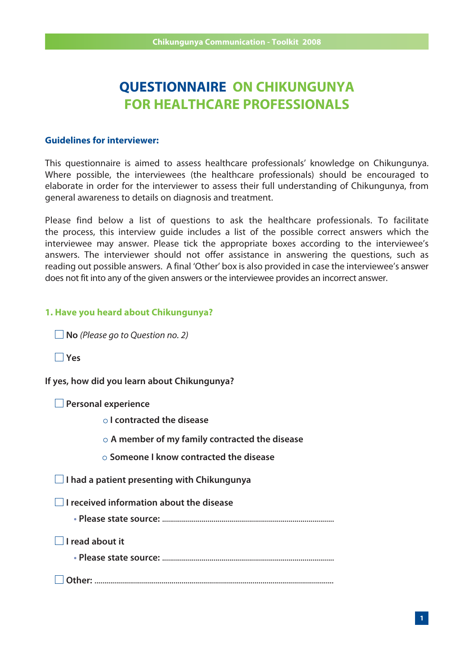# **QUESTIONNAIRE ON CHIKUNGUNYA FOR HEALTHCARE PROFESSIONALS**

#### **Guidelines for interviewer:**

This questionnaire is aimed to assess healthcare professionals' knowledge on Chikungunya. Where possible, the interviewees (the healthcare professionals) should be encouraged to elaborate in order for the interviewer to assess their full understanding of Chikungunya, from general awareness to details on diagnosis and treatment.

Please find below a list of questions to ask the healthcare professionals. To facilitate the process, this interview guide includes a list of the possible correct answers which the interviewee may answer. Please tick the appropriate boxes according to the interviewee's answers. The interviewer should not offer assistance in answering the questions, such as reading out possible answers. A final 'Other' box is also provided in case the interviewee's answer does not fit into any of the given answers or the interviewee provides an incorrect answer.

#### **1. Have you heard about Chikungunya?**

■ **No** (Please go to Question no. 2)

 **Yes**

**If yes, how did you learn about Chikungunya?**

|  | $\Box$ Personal experience |
|--|----------------------------|
|  |                            |

 **I contracted the disease**

 **A member of my family contracted the disease**

 **Someone I know contracted the disease**

 **I had a patient presenting with Chikungunya**

 **I received information about the disease**

 **• Please state source:** .......................................................................................

 **I read about it**

 **• Please state source:** .......................................................................................

 **Other:** .........................................................................................................................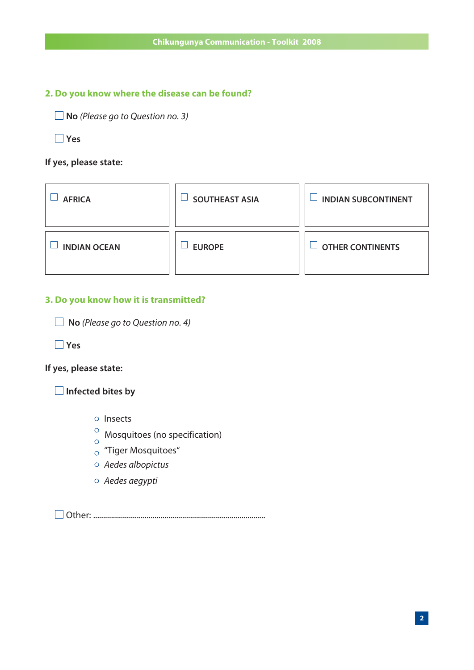# **2. Do you know where the disease can be found?**

■ **No** (Please go to Question no. 3)

 **Yes**

# **If yes, please state:**

| <b>AFRICA</b>       | <b>SOUTHEAST ASIA</b> | <b>INDIAN SUBCONTINENT</b> |
|---------------------|-----------------------|----------------------------|
| <b>INDIAN OCEAN</b> | <b>EUROPE</b>         | <b>OTHER CONTINENTS</b>    |

# **3. Do you know how it is transmitted?**

 **No** (Please go to Question no. 4)

 **Yes**

#### **If yes, please state:**

 **Infected bites by** 

- Insects
- $\frac{\circ}{\circ}$  Mosquitoes (no specification)
- "Tiger Mosquitoes"
- Aedes albopictus
- Aedes aegypti

Other: .......................................................................................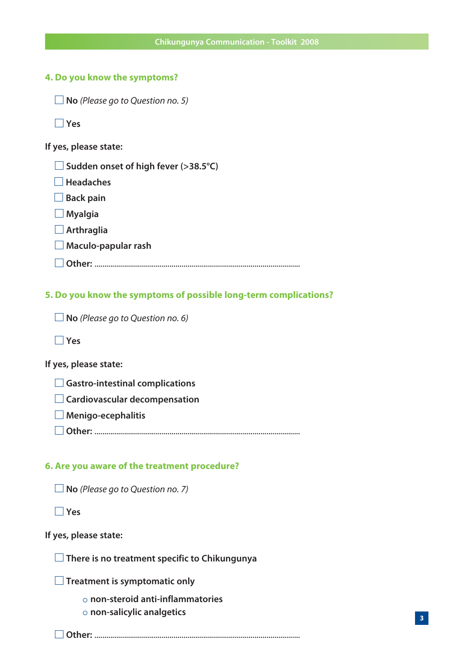## **4. Do you know the symptoms?**

■ **No** (Please go to Question no. 5)

 **Yes**

**If yes, please state:**

 **Sudden onset of high fever (>38.5°C)**

■ Headaches

■ Back pain

 **Myalgia**

 **Arthraglia**

 **Maculo-papular rash**

 **Other:** ........................................................................................................

**5. Do you know the symptoms of possible long-term complications?**

■ **No** (Please go to Question no. 6)

 **Yes**

**If yes, please state:**

 **Gastro-intestinal complications**

 **Cardiovascular decompensation**

 **Menigo-ecephalitis**

 **Other:** ........................................................................................................

#### **6. Are you aware of the treatment procedure?**

■ **No** (Please go to Question no. 7)

 **Yes**

#### **If yes, please state:**

 **There is no treatment specific to Chikungunya**

 **Treatment is symptomatic only**

 **non-steroid anti-inflammatories** 

 **non-salicylic analgetics**

 **Other:** ........................................................................................................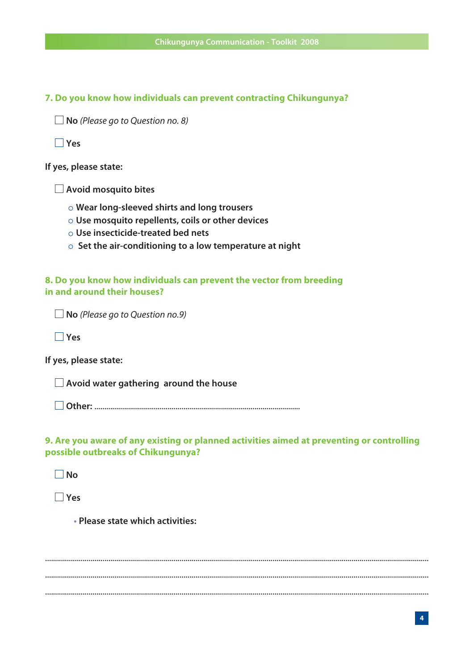**7. Do you know how individuals can prevent contracting Chikungunya?**

■ **No** (Please go to Question no. 8)

 **Yes**

**If yes, please state:**

 **Avoid mosquito bites**

- **Wear long-sleeved shirts and long trousers**
- **Use mosquito repellents, coils or other devices**
- **Use insecticide-treated bed nets**
- **Set the air-conditioning to a low temperature at night**

**8. Do you know how individuals can prevent the vector from breeding in and around their houses?**

■ **No** (Please go to Question no.9)

 **Yes**

**If yes, please state:**

 **Avoid water gathering around the house**

 **Other:** ........................................................................................................

## **9. Are you aware of any existing or planned activities aimed at preventing or controlling possible outbreaks of Chikungunya?**

 **No**

 **Yes**

 **• Please state which activities:** 

.................................................................................................................................................................................................. .................................................................................................................................................................................................. ..................................................................................................................................................................................................